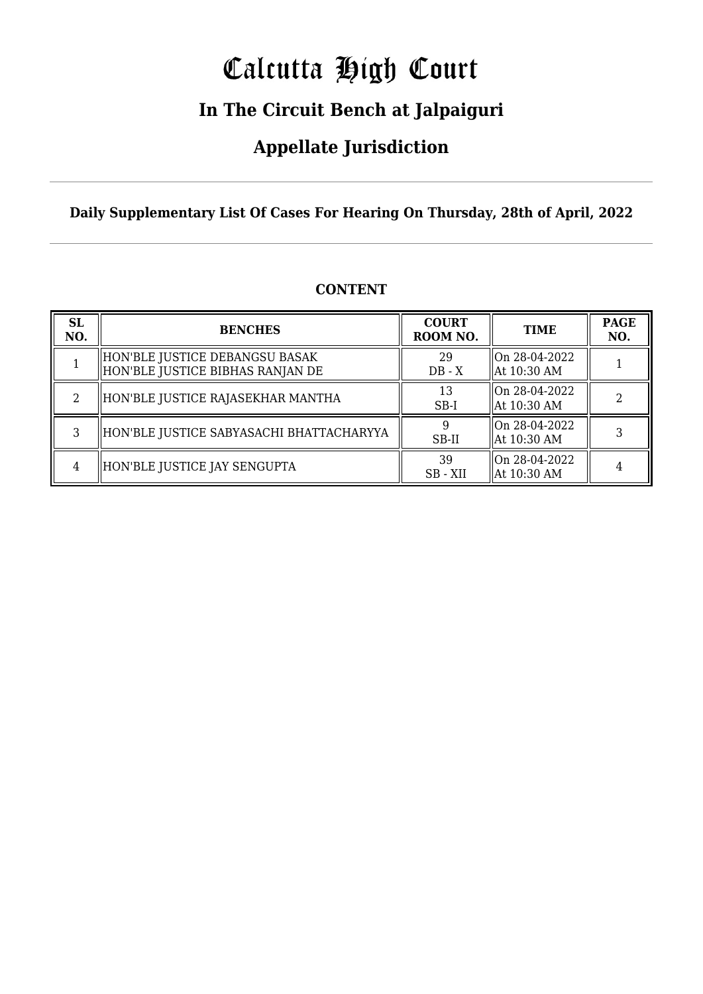# Calcutta High Court

### **In The Circuit Bench at Jalpaiguri**

### **Appellate Jurisdiction**

**Daily Supplementary List Of Cases For Hearing On Thursday, 28th of April, 2022**

| <b>SL</b><br>NO. | <b>BENCHES</b>                                                      | <b>COURT</b><br>ROOM NO. | <b>TIME</b>                   | <b>PAGE</b><br>NO. |
|------------------|---------------------------------------------------------------------|--------------------------|-------------------------------|--------------------|
|                  | HON'BLE JUSTICE DEBANGSU BASAK <br>HON'BLE JUSTICE BIBHAS RANJAN DE | 29<br>$DB - X$           | On 28-04-2022<br>At 10:30 AM  |                    |
| 2                | HON'BLE JUSTICE RAJASEKHAR MANTHA                                   | 13<br>$SB-I$             | lOn 28-04-2022<br>At 10:30 AM |                    |
| 3                | HON'BLE JUSTICE SABYASACHI BHATTACHARYYA                            | SB-II                    | lOn 28-04-2022<br>At 10:30 AM |                    |
| 4                | HON'BLE JUSTICE JAY SENGUPTA                                        | 39<br>SB - XII           | On 28-04-2022<br>At 10:30 AM  |                    |

#### **CONTENT**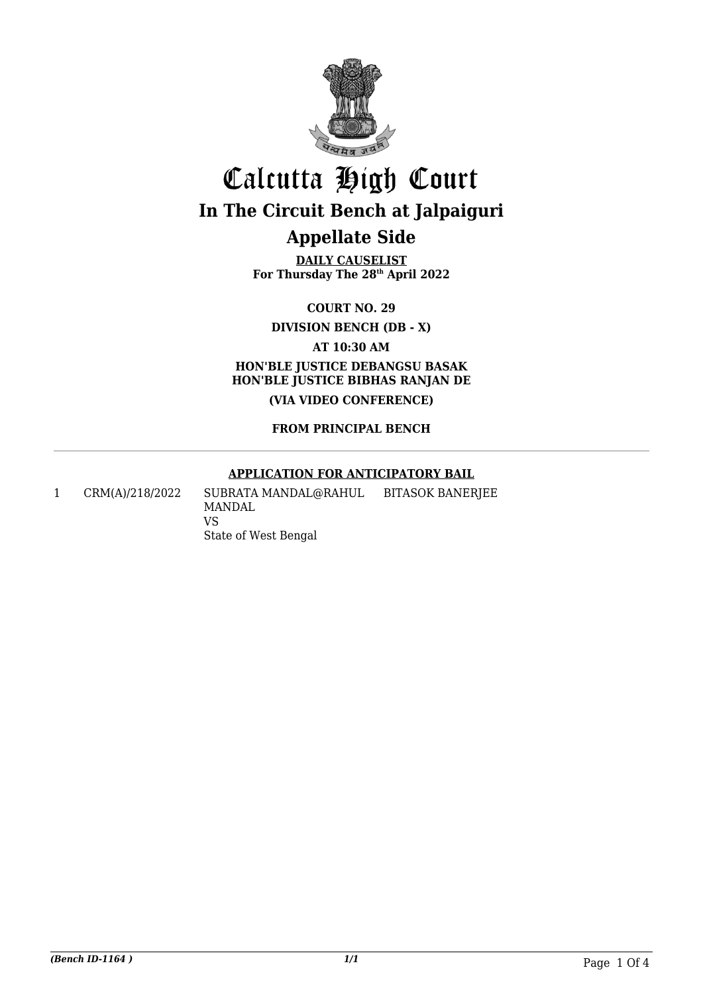

**DAILY CAUSELIST For Thursday The 28th April 2022**

**COURT NO. 29**

**DIVISION BENCH (DB - X)**

**AT 10:30 AM HON'BLE JUSTICE DEBANGSU BASAK HON'BLE JUSTICE BIBHAS RANJAN DE (VIA VIDEO CONFERENCE)**

#### **FROM PRINCIPAL BENCH**

#### **APPLICATION FOR ANTICIPATORY BAIL**

1 CRM(A)/218/2022 SUBRATA MANDAL@RAHUL MANDAL VS State of West Bengal BITASOK BANERJEE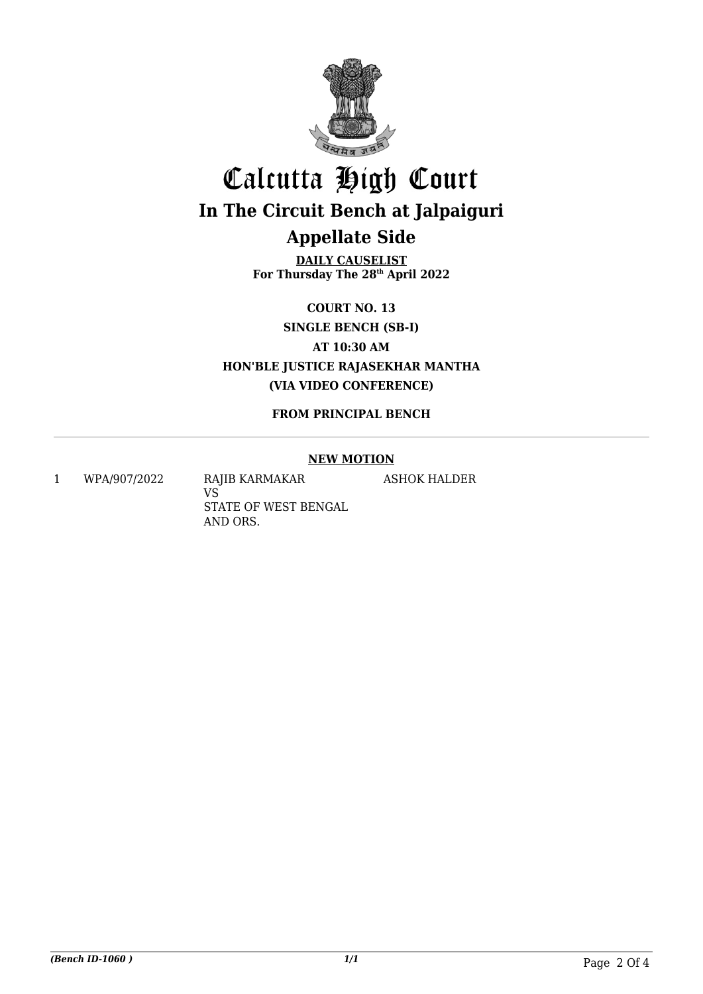

**DAILY CAUSELIST For Thursday The 28th April 2022**

**COURT NO. 13**

**SINGLE BENCH (SB-I)**

**AT 10:30 AM**

**HON'BLE JUSTICE RAJASEKHAR MANTHA (VIA VIDEO CONFERENCE)**

#### **FROM PRINCIPAL BENCH**

#### **NEW MOTION**

ASHOK HALDER

1 WPA/907/2022 RAJIB KARMAKAR

VS STATE OF WEST BENGAL AND ORS.

*(Bench ID-1060 ) 1/1* Page 2 Of 4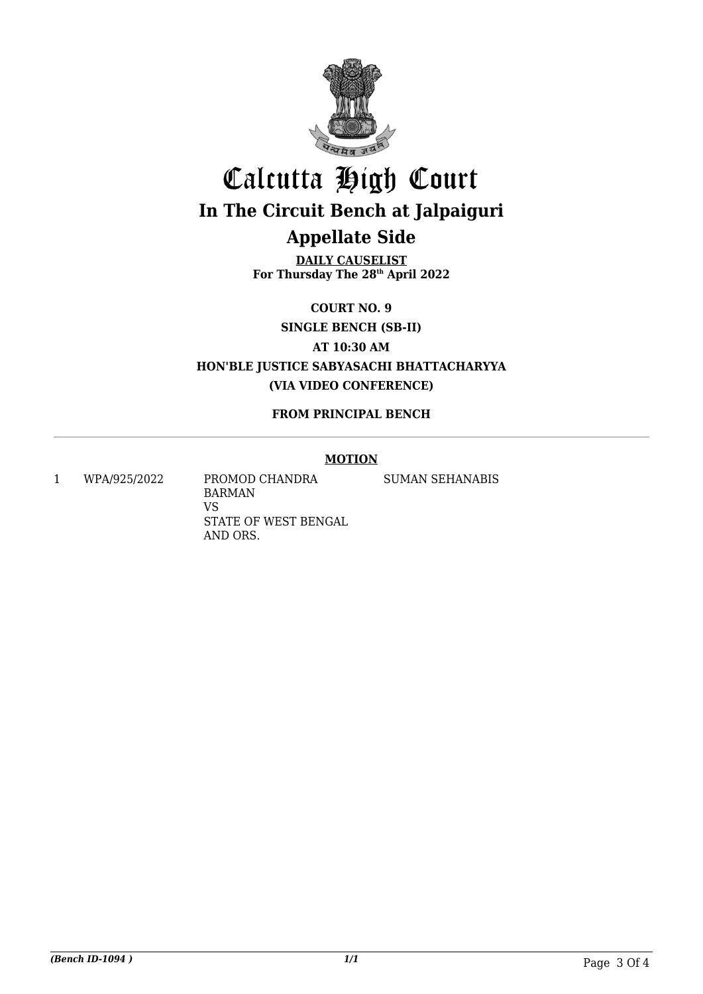

**DAILY CAUSELIST For Thursday The 28th April 2022**

**COURT NO. 9**

**SINGLE BENCH (SB-II)**

**AT 10:30 AM**

**HON'BLE JUSTICE SABYASACHI BHATTACHARYYA (VIA VIDEO CONFERENCE)**

#### **FROM PRINCIPAL BENCH**

#### **MOTION**

1 WPA/925/2022 PROMOD CHANDRA BARMAN VS STATE OF WEST BENGAL AND ORS.

SUMAN SEHANABIS